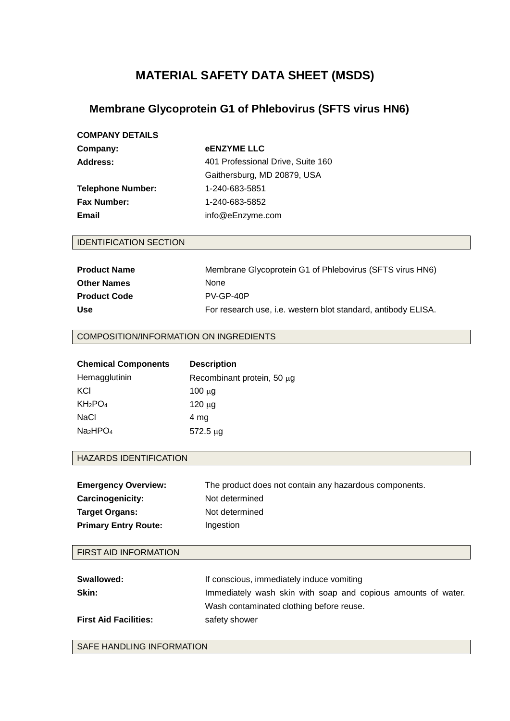# **MATERIAL SAFETY DATA SHEET (MSDS)**

## **Membrane Glycoprotein G1 of Phlebovirus (SFTS virus HN6)**

| <b>COMPANY DETAILS</b>   |                                   |
|--------------------------|-----------------------------------|
| Company:                 | <b>eENZYME LLC</b>                |
| Address:                 | 401 Professional Drive, Suite 160 |
|                          | Gaithersburg, MD 20879, USA       |
| <b>Telephone Number:</b> | 1-240-683-5851                    |
| <b>Fax Number:</b>       | 1-240-683-5852                    |
| Email                    | info@eEnzyme.com                  |
|                          |                                   |

#### IDENTIFICATION SECTION

| <b>Product Name</b> | Membrane Glycoprotein G1 of Phlebovirus (SFTS virus HN6)      |
|---------------------|---------------------------------------------------------------|
| <b>Other Names</b>  | <b>None</b>                                                   |
| <b>Product Code</b> | $PV-GP-4OP$                                                   |
| <b>Use</b>          | For research use, i.e. western blot standard, antibody ELISA. |

#### COMPOSITION/INFORMATION ON INGREDIENTS

| <b>Chemical Components</b>       | <b>Description</b>         |
|----------------------------------|----------------------------|
| Hemagglutinin                    | Recombinant protein, 50 µg |
| KCI                              | $100 \mu g$                |
| KH <sub>2</sub> PO <sub>4</sub>  | $120 \mu g$                |
| NaCl                             | 4 mg                       |
| Na <sub>2</sub> HPO <sub>4</sub> | $572.5 \mu g$              |
|                                  |                            |

#### HAZARDS IDENTIFICATION

| <b>Emergency Overview:</b>  | The product does not contain any hazardous components. |
|-----------------------------|--------------------------------------------------------|
| <b>Carcinogenicity:</b>     | Not determined                                         |
| <b>Target Organs:</b>       | Not determined                                         |
| <b>Primary Entry Route:</b> | Ingestion                                              |

#### FIRST AID INFORMATION

| Swallowed:                   | If conscious, immediately induce vomiting                     |
|------------------------------|---------------------------------------------------------------|
| Skin:                        | Immediately wash skin with soap and copious amounts of water. |
|                              | Wash contaminated clothing before reuse.                      |
| <b>First Aid Facilities:</b> | safety shower                                                 |